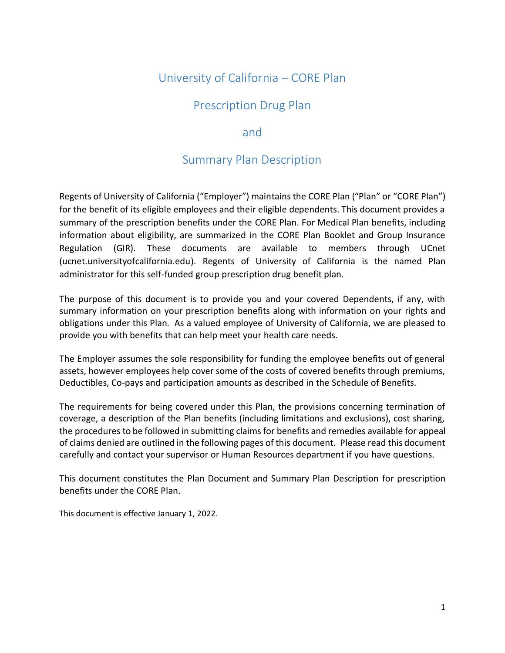# University of California – CORE Plan

# Prescription Drug Plan

# and

# Summary Plan Description

Regents of University of California ("Employer") maintains the CORE Plan ("Plan" or "CORE Plan") for the benefit of its eligible employees and their eligible dependents. This document provides a summary of the prescription benefits under the CORE Plan. For Medical Plan benefits, including information about eligibility, are summarized in the CORE Plan Booklet and Group Insurance Regulation (GIR). These documents are available to members through UCnet (ucnet.universityofcalifornia.edu). Regents of University of California is the named Plan administrator for this self-funded group prescription drug benefit plan.

The purpose of this document is to provide you and your covered Dependents, if any, with summary information on your prescription benefits along with information on your rights and obligations under this Plan. As a valued employee of University of California, we are pleased to provide you with benefits that can help meet your health care needs.

The Employer assumes the sole responsibility for funding the employee benefits out of general assets, however employees help cover some of the costs of covered benefits through premiums, Deductibles, Co-pays and participation amounts as described in the Schedule of Benefits.

The requirements for being covered under this Plan, the provisions concerning termination of coverage, a description of the Plan benefits (including limitations and exclusions), cost sharing, the procedures to be followed in submitting claims for benefits and remedies available for appeal of claims denied are outlined in the following pages of this document. Please read this document carefully and contact your supervisor or Human Resources department if you have questions.

This document constitutes the Plan Document and Summary Plan Description for prescription benefits under the CORE Plan.

This document is effective January 1, 2022.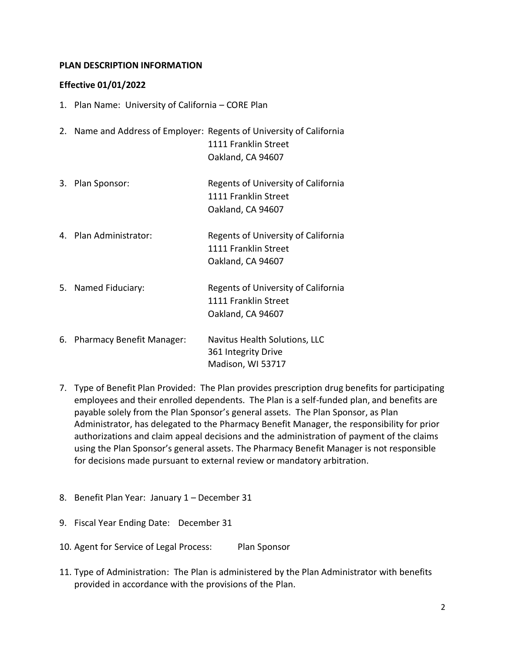#### **PLAN DESCRIPTION INFORMATION**

#### **Effective 01/01/2022**

- 1. Plan Name: University of California CORE Plan
- 2. Name and Address of Employer: Regents of University of California 1111 Franklin Street Oakland, CA 94607
- 3. Plan Sponsor: Regents of University of California 1111 Franklin Street Oakland, CA 94607
- 4. Plan Administrator: Regents of University of California 1111 Franklin Street Oakland, CA 94607
- 5. Named Fiduciary: Regents of University of California 1111 Franklin Street Oakland, CA 94607
- 6. Pharmacy Benefit Manager: Navitus Health Solutions, LLC 361 Integrity Drive Madison, WI 53717
- 7. Type of Benefit Plan Provided: The Plan provides prescription drug benefits for participating employees and their enrolled dependents. The Plan is a self-funded plan, and benefits are payable solely from the Plan Sponsor's general assets. The Plan Sponsor, as Plan Administrator, has delegated to the Pharmacy Benefit Manager, the responsibility for prior authorizations and claim appeal decisions and the administration of payment of the claims using the Plan Sponsor's general assets. The Pharmacy Benefit Manager is not responsible for decisions made pursuant to external review or mandatory arbitration.
- 8. Benefit Plan Year: January 1 December 31
- 9. Fiscal Year Ending Date: December 31
- 10. Agent for Service of Legal Process: Plan Sponsor
- 11. Type of Administration: The Plan is administered by the Plan Administrator with benefits provided in accordance with the provisions of the Plan.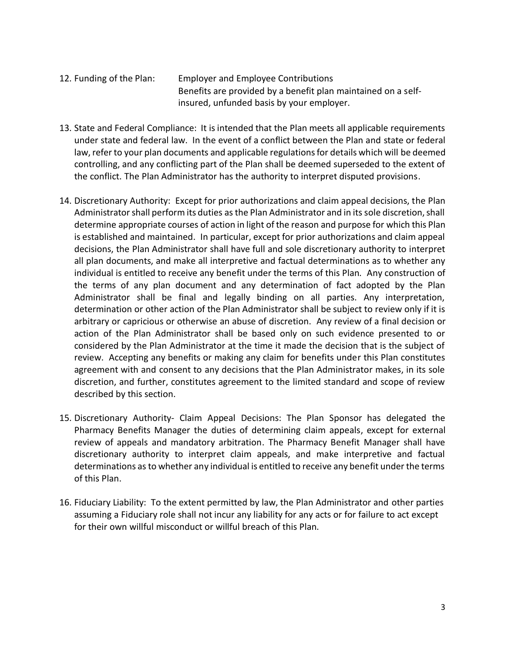- 12. Funding of the Plan: Employer and Employee Contributions Benefits are provided by a benefit plan maintained on a selfinsured, unfunded basis by your employer.
- 13. State and Federal Compliance: It is intended that the Plan meets all applicable requirements under state and federal law. In the event of a conflict between the Plan and state or federal law, refer to your plan documents and applicable regulations for details which will be deemed controlling, and any conflicting part of the Plan shall be deemed superseded to the extent of the conflict. The Plan Administrator has the authority to interpret disputed provisions.
- 14. Discretionary Authority: Except for prior authorizations and claim appeal decisions, the Plan Administrator shall perform its duties as the Plan Administrator and in its sole discretion, shall determine appropriate courses of action in light of the reason and purpose for which this Plan is established and maintained. In particular, except for prior authorizations and claim appeal decisions, the Plan Administrator shall have full and sole discretionary authority to interpret all plan documents, and make all interpretive and factual determinations as to whether any individual is entitled to receive any benefit under the terms of this Plan. Any construction of the terms of any plan document and any determination of fact adopted by the Plan Administrator shall be final and legally binding on all parties. Any interpretation, determination or other action of the Plan Administrator shall be subject to review only if it is arbitrary or capricious or otherwise an abuse of discretion. Any review of a final decision or action of the Plan Administrator shall be based only on such evidence presented to or considered by the Plan Administrator at the time it made the decision that is the subject of review. Accepting any benefits or making any claim for benefits under this Plan constitutes agreement with and consent to any decisions that the Plan Administrator makes, in its sole discretion, and further, constitutes agreement to the limited standard and scope of review described by this section.
- 15. Discretionary Authority- Claim Appeal Decisions: The Plan Sponsor has delegated the Pharmacy Benefits Manager the duties of determining claim appeals, except for external review of appeals and mandatory arbitration. The Pharmacy Benefit Manager shall have discretionary authority to interpret claim appeals, and make interpretive and factual determinations as to whether any individual is entitled to receive any benefit under the terms of this Plan.
- 16. Fiduciary Liability: To the extent permitted by law, the Plan Administrator and other parties assuming a Fiduciary role shall not incur any liability for any acts or for failure to act except for their own willful misconduct or willful breach of this Plan.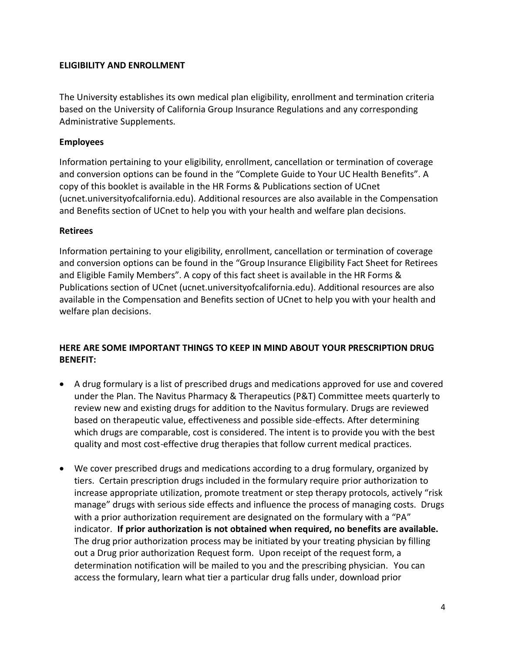## **ELIGIBILITY AND ENROLLMENT**

The University establishes its own medical plan eligibility, enrollment and termination criteria based on the University of California Group Insurance Regulations and any corresponding Administrative Supplements.

# **Employees**

Information pertaining to your eligibility, enrollment, cancellation or termination of coverage and conversion options can be found in the "Complete Guide to Your UC Health Benefits". A copy of this booklet is available in the HR Forms & Publications section of UCnet (ucnet.universityofcalifornia.edu). Additional resources are also available in the Compensation and Benefits section of UCnet to help you with your health and welfare plan decisions.

# **Retirees**

Information pertaining to your eligibility, enrollment, cancellation or termination of coverage and conversion options can be found in the "Group Insurance Eligibility Fact Sheet for Retirees and Eligible Family Members". A copy of this fact sheet is available in the HR Forms & Publications section of UCnet (ucnet.universityofcalifornia.edu). Additional resources are also available in the Compensation and Benefits section of UCnet to help you with your health and welfare plan decisions.

# **HERE ARE SOME IMPORTANT THINGS TO KEEP IN MIND ABOUT YOUR PRESCRIPTION DRUG BENEFIT:**

- A drug formulary is a list of prescribed drugs and medications approved for use and covered under the Plan. The Navitus Pharmacy & Therapeutics (P&T) Committee meets quarterly to review new and existing drugs for addition to the Navitus formulary. Drugs are reviewed based on therapeutic value, effectiveness and possible side-effects. After determining which drugs are comparable, cost is considered. The intent is to provide you with the best quality and most cost-effective drug therapies that follow current medical practices.
- We cover prescribed drugs and medications according to a drug formulary, organized by tiers. Certain prescription drugs included in the formulary require prior authorization to increase appropriate utilization, promote treatment or step therapy protocols, actively "risk manage" drugs with serious side effects and influence the process of managing costs. Drugs with a prior authorization requirement are designated on the formulary with a "PA" indicator. **If prior authorization is not obtained when required, no benefits are available.** The drug prior authorization process may be initiated by your treating physician by filling out a Drug prior authorization Request form. Upon receipt of the request form, a determination notification will be mailed to you and the prescribing physician. You can access the formulary, learn what tier a particular drug falls under, download prior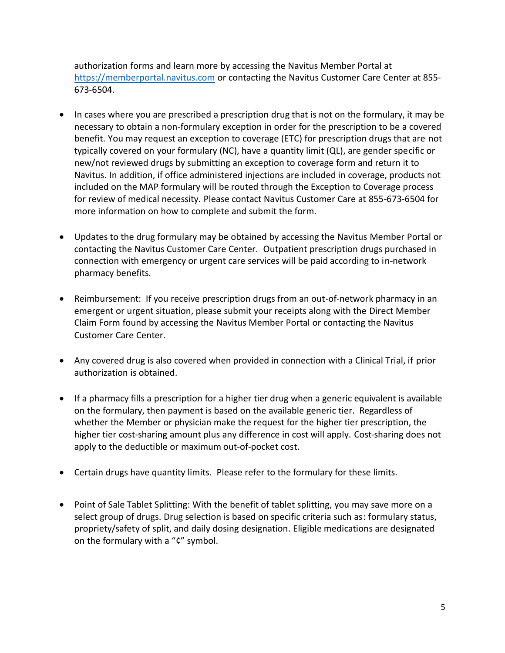authorization forms and learn more by accessing the [Navitus Member Portal](https://members.navitus.com/) at [https://memberportal.navitus.com](https://memberportal.navitus.com/) or contacting the Navitus Customer Care Center at 855- 673-6504.

- In cases where you are prescribed a prescription drug that is not on the formulary, it may be necessary to obtain a non-formulary exception in order for the prescription to be a covered benefit. You may request an exception to coverage (ETC) for prescription drugs that are not typically covered on your formulary (NC), have a quantity limit (QL), are gender specific or new/not reviewed drugs by submitting an exception to coverage form and return it to Navitus. In addition, if office administered injections are included in coverage, products not included on the MAP formulary will be routed through the Exception to Coverage process for review of medical necessity. Please contact Navitus Customer Care at 855-673-6504 for more information on how to complete and submit the form.
- Updates to the drug formulary may be obtained by accessing the Navitus Member Portal or contacting the Navitus Customer Care Center. Outpatient prescription drugs purchased in connection with emergency or urgent care services will be paid according to in-network pharmacy benefits.
- Reimbursement: If you receive prescription drugs from an out-of-network pharmacy in an emergent or urgent situation, please submit your receipts along with the Direct Member Claim Form found by accessing the [Navitus Member Portal](https://members.navitus.com/) or contacting the Navitus Customer Care Center.
- Any covered drug is also covered when provided in connection with a Clinical Trial, if prior authorization is obtained.
- If a pharmacy fills a prescription for a higher tier drug when a generic equivalent is available on the formulary, then payment is based on the available generic tier. Regardless of whether the Member or physician make the request for the higher tier prescription, the higher tier cost-sharing amount plus any difference in cost will apply. Cost-sharing does not apply to the deductible or maximum out-of-pocket cost.
- Certain drugs have quantity limits. Please refer to the formulary for these limits.
- Point of Sale Tablet Splitting: With the benefit of tablet splitting, you may save more on a select group of drugs. Drug selection is based on specific criteria such as: formulary status, propriety/safety of split, and daily dosing designation. Eligible medications are designated on the formulary with a "¢" symbol.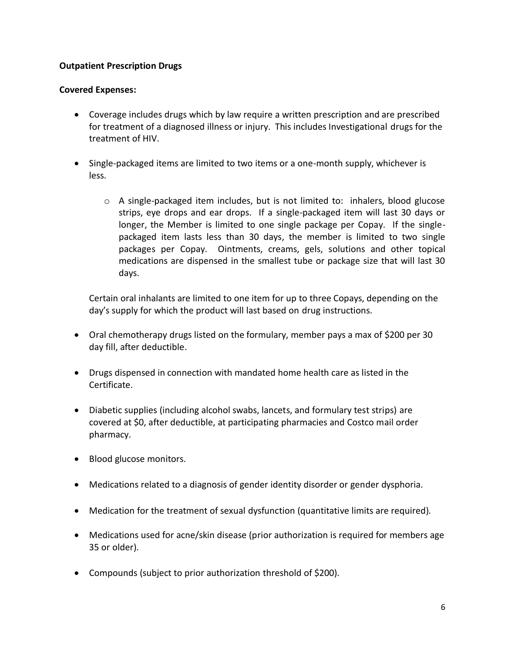## **Outpatient Prescription Drugs**

## **Covered Expenses:**

- Coverage includes drugs which by law require a written prescription and are prescribed for treatment of a diagnosed illness or injury. This includes Investigational drugs for the treatment of HIV.
- Single-packaged items are limited to two items or a one-month supply, whichever is less.
	- $\circ$  A single-packaged item includes, but is not limited to: inhalers, blood glucose strips, eye drops and ear drops. If a single-packaged item will last 30 days or longer, the Member is limited to one single package per Copay. If the singlepackaged item lasts less than 30 days, the member is limited to two single packages per Copay. Ointments, creams, gels, solutions and other topical medications are dispensed in the smallest tube or package size that will last 30 days.

Certain oral inhalants are limited to one item for up to three Copays, depending on the day's supply for which the product will last based on drug instructions.

- Oral chemotherapy drugs listed on the formulary, member pays a max of \$200 per 30 day fill, after deductible.
- Drugs dispensed in connection with mandated home health care as listed in the Certificate.
- Diabetic supplies (including alcohol swabs, lancets, and formulary test strips) are covered at \$0, after deductible, at participating pharmacies and Costco mail order pharmacy.
- Blood glucose monitors.
- Medications related to a diagnosis of gender identity disorder or gender dysphoria.
- Medication for the treatment of sexual dysfunction (quantitative limits are required).
- Medications used for acne/skin disease (prior authorization is required for members age 35 or older).
- Compounds (subject to prior authorization threshold of \$200).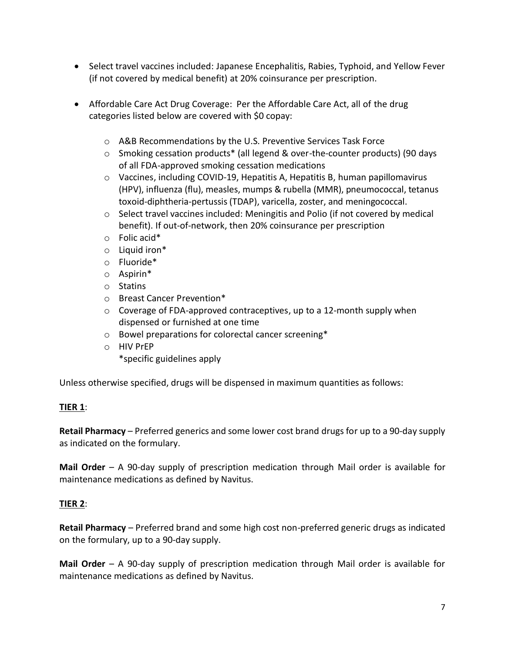- Select travel vaccines included: Japanese Encephalitis, Rabies, Typhoid, and Yellow Fever (if not covered by medical benefit) at 20% coinsurance per prescription.
- Affordable Care Act Drug Coverage: Per the Affordable Care Act, all of the drug categories listed below are covered with \$0 copay:
	- o A&B Recommendations by the U.S. Preventive Services Task Force
	- o Smoking cessation products\* (all legend & over-the-counter products) (90 days of all FDA-approved smoking cessation medications
	- $\circ$  Vaccines, including COVID-19, Hepatitis A, Hepatitis B, human papillomavirus (HPV), influenza (flu), measles, mumps & rubella (MMR), pneumococcal, tetanus toxoid-diphtheria-pertussis (TDAP), varicella, zoster, and meningococcal.
	- $\circ$  Select travel vaccines included: Meningitis and Polio (if not covered by medical benefit). If out-of-network, then 20% coinsurance per prescription
	- o Folic acid\*
	- o Liquid iron\*
	- o Fluoride\*
	- o Aspirin\*
	- o Statins
	- o Breast Cancer Prevention\*
	- $\circ$  Coverage of FDA-approved contraceptives, up to a 12-month supply when dispensed or furnished at one time
	- o Bowel preparations for colorectal cancer screening\*
	- o HIV PrEP
		- \*specific guidelines apply

Unless otherwise specified, drugs will be dispensed in maximum quantities as follows:

## **TIER 1**:

**Retail Pharmacy** – Preferred generics and some lower cost brand drugs for up to a 90-day supply as indicated on the formulary.

**Mail Order** – A 90-day supply of prescription medication through Mail order is available for maintenance medications as defined by Navitus.

# **TIER 2**:

**Retail Pharmacy** – Preferred brand and some high cost non-preferred generic drugs as indicated on the formulary, up to a 90-day supply.

**Mail Order** – A 90-day supply of prescription medication through Mail order is available for maintenance medications as defined by Navitus.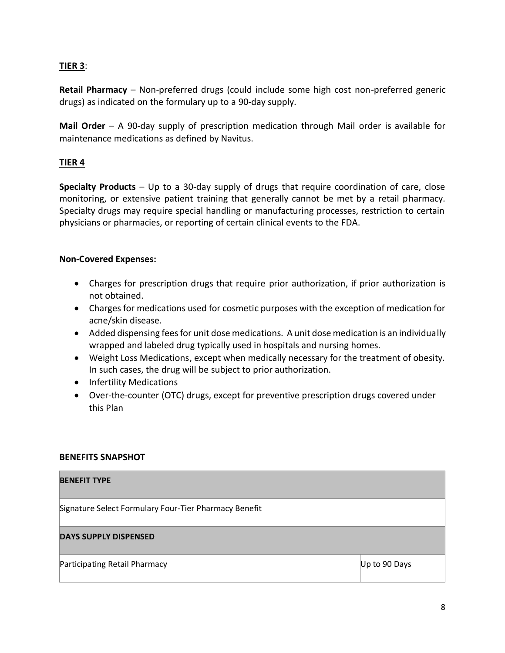#### **TIER 3**:

**Retail Pharmacy** – Non-preferred drugs (could include some high cost non-preferred generic drugs) as indicated on the formulary up to a 90-day supply.

**Mail Order** – A 90-day supply of prescription medication through Mail order is available for maintenance medications as defined by Navitus.

#### **TIER 4**

**Specialty Products** – Up to a 30-day supply of drugs that require coordination of care, close monitoring, or extensive patient training that generally cannot be met by a retail pharmacy. Specialty drugs may require special handling or manufacturing processes, restriction to certain physicians or pharmacies, or reporting of certain clinical events to the FDA.

#### **Non-Covered Expenses:**

- Charges for prescription drugs that require prior authorization, if prior authorization is not obtained.
- Charges for medications used for cosmetic purposes with the exception of medication for acne/skin disease.
- Added dispensing fees for unit dose medications. A unit dose medication is an individually wrapped and labeled drug typically used in hospitals and nursing homes.
- Weight Loss Medications, except when medically necessary for the treatment of obesity. In such cases, the drug will be subject to prior authorization.
- Infertility Medications
- Over-the-counter (OTC) drugs, except for preventive prescription drugs covered under this Plan

#### **BENEFITS SNAPSHOT**

# **BENEFIT TYPE**  Signature Select Formulary Four-Tier Pharmacy Benefit **DAYS SUPPLY DISPENSED**  Participating Retail Pharmacy **Department of the Contract Contract Contract Contract Contract Contract Contract Contract Contract Contract Contract Contract Contract Contract Contract Contract Contract Contract Contract Co**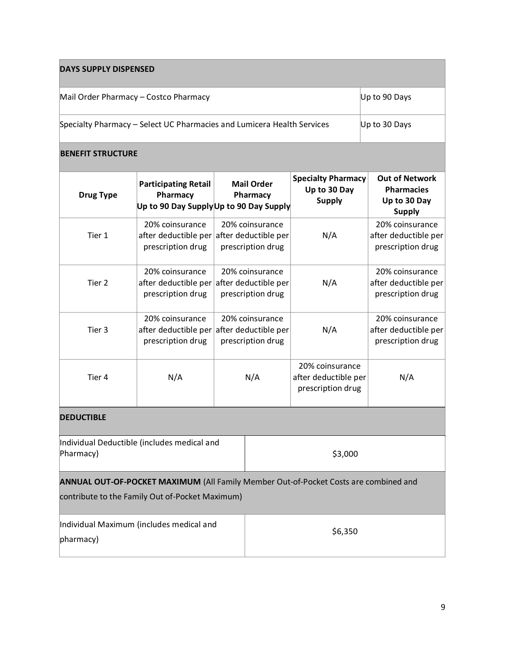| <b>DAYS SUPPLY DISPENSED</b>                                           |                                                                                                                                         |                                                                                   |         |                                                              |                                                                             |  |
|------------------------------------------------------------------------|-----------------------------------------------------------------------------------------------------------------------------------------|-----------------------------------------------------------------------------------|---------|--------------------------------------------------------------|-----------------------------------------------------------------------------|--|
| Mail Order Pharmacy - Costco Pharmacy                                  |                                                                                                                                         |                                                                                   |         |                                                              | Up to 90 Days                                                               |  |
| Specialty Pharmacy - Select UC Pharmacies and Lumicera Health Services |                                                                                                                                         |                                                                                   |         | Up to 30 Days                                                |                                                                             |  |
| <b>BENEFIT STRUCTURE</b>                                               |                                                                                                                                         |                                                                                   |         |                                                              |                                                                             |  |
| <b>Drug Type</b>                                                       | <b>Participating Retail</b><br>Pharmacy<br>Up to 90 Day Supply Up to 90 Day Supply                                                      | <b>Mail Order</b><br>Pharmacy                                                     |         | <b>Specialty Pharmacy</b><br>Up to 30 Day<br><b>Supply</b>   | <b>Out of Network</b><br><b>Pharmacies</b><br>Up to 30 Day<br><b>Supply</b> |  |
| Tier 1                                                                 | 20% coinsurance<br>after deductible per<br>prescription drug                                                                            | 20% coinsurance<br>after deductible per<br>prescription drug                      |         | N/A                                                          | 20% coinsurance<br>after deductible per<br>prescription drug                |  |
| Tier 2                                                                 | 20% coinsurance<br>prescription drug                                                                                                    | 20% coinsurance<br>after deductible per after deductible per<br>prescription drug |         | N/A                                                          | 20% coinsurance<br>after deductible per<br>prescription drug                |  |
| Tier 3                                                                 | 20% coinsurance<br>after deductible per<br>prescription drug                                                                            | 20% coinsurance<br>after deductible per<br>prescription drug                      |         | N/A                                                          | 20% coinsurance<br>after deductible per<br>prescription drug                |  |
| Tier 4                                                                 | N/A                                                                                                                                     | N/A                                                                               |         | 20% coinsurance<br>after deductible per<br>prescription drug | N/A                                                                         |  |
| <b>DEDUCTIBLE</b>                                                      |                                                                                                                                         |                                                                                   |         |                                                              |                                                                             |  |
| Individual Deductible (includes medical and<br>Pharmacy)               |                                                                                                                                         |                                                                                   | \$3,000 |                                                              |                                                                             |  |
|                                                                        | ANNUAL OUT-OF-POCKET MAXIMUM (All Family Member Out-of-Pocket Costs are combined and<br>contribute to the Family Out of-Pocket Maximum) |                                                                                   |         |                                                              |                                                                             |  |
| Individual Maximum (includes medical and<br>pharmacy)                  |                                                                                                                                         |                                                                                   | \$6,350 |                                                              |                                                                             |  |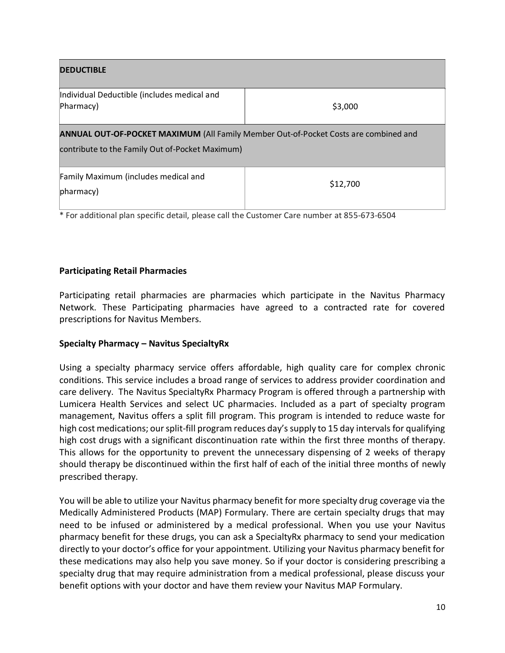| <b>DEDUCTIBLE</b>                                                                                                                              |          |  |  |  |
|------------------------------------------------------------------------------------------------------------------------------------------------|----------|--|--|--|
| Individual Deductible (includes medical and<br>Pharmacy)                                                                                       | \$3,000  |  |  |  |
| <b>ANNUAL OUT-OF-POCKET MAXIMUM (All Family Member Out-of-Pocket Costs are combined and</b><br>contribute to the Family Out of-Pocket Maximum) |          |  |  |  |
| Family Maximum (includes medical and<br>pharmacy)                                                                                              | \$12,700 |  |  |  |

\* For additional plan specific detail, please call the Customer Care number at 855-673-6504

#### **Participating Retail Pharmacies**

Participating retail pharmacies are pharmacies which participate in the Navitus Pharmacy Network. These Participating pharmacies have agreed to a contracted rate for covered prescriptions for Navitus Members.

#### **Specialty Pharmacy – Navitus SpecialtyRx**

Using a specialty pharmacy service offers affordable, high quality care for complex chronic conditions. This service includes a broad range of services to address provider coordination and care delivery. The Navitus SpecialtyRx Pharmacy Program is offered through a partnership with Lumicera Health Services and select UC pharmacies. Included as a part of specialty program management, Navitus offers a split fill program. This program is intended to reduce waste for high cost medications; our split-fill program reduces day's supply to 15 day intervals for qualifying high cost drugs with a significant discontinuation rate within the first three months of therapy. This allows for the opportunity to prevent the unnecessary dispensing of 2 weeks of therapy should therapy be discontinued within the first half of each of the initial three months of newly prescribed therapy.

You will be able to utilize your Navitus pharmacy benefit for more specialty drug coverage via the Medically Administered Products (MAP) Formulary. There are certain specialty drugs that may need to be infused or administered by a medical professional. When you use your Navitus pharmacy benefit for these drugs, you can ask a SpecialtyRx pharmacy to send your medication directly to your doctor's office for your appointment. Utilizing your Navitus pharmacy benefit for these medications may also help you save money. So if your doctor is considering prescribing a specialty drug that may require administration from a medical professional, please discuss your benefit options with your doctor and have them review your Navitus MAP Formulary.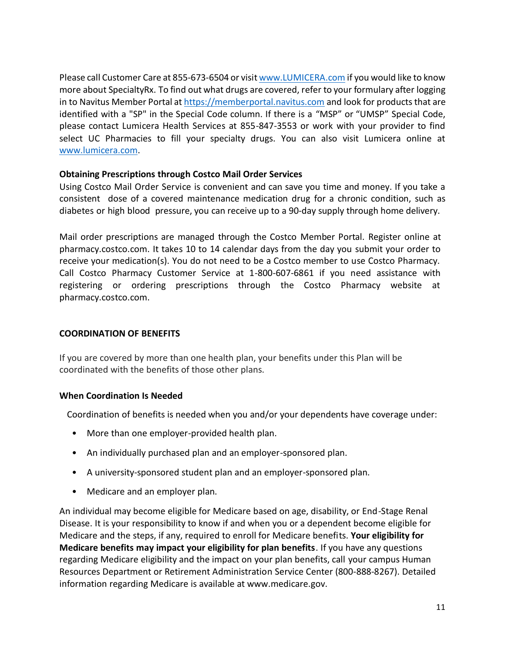Please call Customer Care at 855-673-6504 or visi[t www.LUMICERA.com](http://www.lumicera.com/) if you would like to know more about SpecialtyRx. To find out what drugs are covered, refer to your formulary after logging in to Navitus Member Portal at [https://memberportal.navitus.com](https://memberportal.navitus.com/) and look for products that are identified with a "SP" in the Special Code column. If there is a "MSP" or "UMSP" Special Code, please contact Lumicera Health Services at 855-847-3553 or work with your provider to find select UC Pharmacies to fill your specialty drugs. You can also visit Lumicera online at [www.lumicera.com.](http://www.lumicera.com/)

#### **Obtaining Prescriptions through Costco Mail Order Services**

Using Costco Mail Order Service is convenient and can save you time and money. If you take a consistent dose of a covered maintenance medication drug for a chronic condition, such as diabetes or high blood pressure, you can receive up to a 90-day supply through home delivery.

Mail order prescriptions are managed through the Costco Member Portal. Register online at pharmacy.costco.com. It takes 10 to 14 calendar days from the day you submit your order to receive your medication(s). You do not need to be a Costco member to use Costco Pharmacy. Call Costco Pharmacy Customer Service at 1-800-607-6861 if you need assistance with registering or ordering prescriptions through the Costco Pharmacy website at pharmacy.costco.com.

#### **COORDINATION OF BENEFITS**

If you are covered by more than one health plan, your benefits under this Plan will be coordinated with the benefits of those other plans.

#### **When Coordination Is Needed**

Coordination of benefits is needed when you and/or your dependents have coverage under:

- More than one employer-provided health plan.
- An individually purchased plan and an employer-sponsored plan.
- A university-sponsored student plan and an employer-sponsored plan.
- Medicare and an employer plan.

An individual may become eligible for Medicare based on age, disability, or End-Stage Renal Disease. It is your responsibility to know if and when you or a dependent become eligible for Medicare and the steps, if any, required to enroll for Medicare benefits. **Your eligibility for Medicare benefits may impact your eligibility for plan benefits**. If you have any questions regarding Medicare eligibility and the impact on your plan benefits, call your campus Human Resources Department or Retirement Administration Service Center (800-888-8267). Detailed information regarding Medicare is available at www.medicare.gov.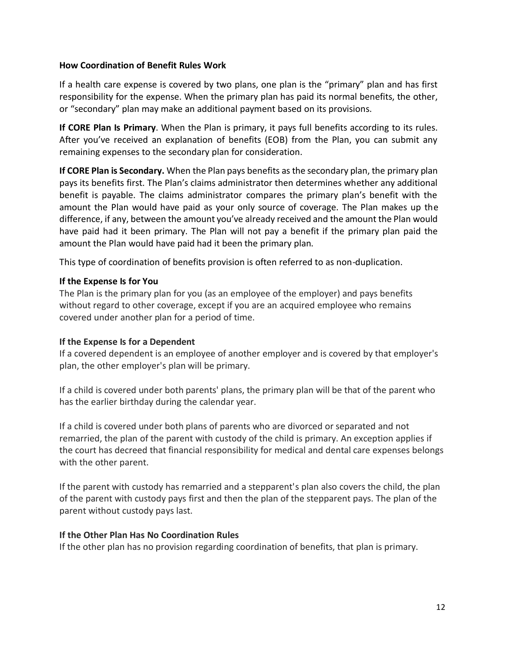#### **How Coordination of Benefit Rules Work**

If a health care expense is covered by two plans, one plan is the "primary" plan and has first responsibility for the expense. When the primary plan has paid its normal benefits, the other, or "secondary" plan may make an additional payment based on its provisions.

**If CORE Plan Is Primary**. When the Plan is primary, it pays full benefits according to its rules. After you've received an explanation of benefits (EOB) from the Plan, you can submit any remaining expenses to the secondary plan for consideration.

**If CORE Plan is Secondary.** When the Plan pays benefits as the secondary plan, the primary plan pays its benefits first. The Plan's claims administrator then determines whether any additional benefit is payable. The claims administrator compares the primary plan's benefit with the amount the Plan would have paid as your only source of coverage. The Plan makes up the difference, if any, between the amount you've already received and the amount the Plan would have paid had it been primary. The Plan will not pay a benefit if the primary plan paid the amount the Plan would have paid had it been the primary plan.

This type of coordination of benefits provision is often referred to as non-duplication.

#### **If the Expense Is for You**

The Plan is the primary plan for you (as an employee of the employer) and pays benefits without regard to other coverage, except if you are an acquired employee who remains covered under another plan for a period of time.

#### **If the Expense Is for a Dependent**

If a covered dependent is an employee of another employer and is covered by that employer's plan, the other employer's plan will be primary.

If a child is covered under both parents' plans, the primary plan will be that of the parent who has the earlier birthday during the calendar year.

If a child is covered under both plans of parents who are divorced or separated and not remarried, the plan of the parent with custody of the child is primary. An exception applies if the court has decreed that financial responsibility for medical and dental care expenses belongs with the other parent.

If the parent with custody has remarried and a stepparent's plan also covers the child, the plan of the parent with custody pays first and then the plan of the stepparent pays. The plan of the parent without custody pays last.

#### **If the Other Plan Has No Coordination Rules**

If the other plan has no provision regarding coordination of benefits, that plan is primary.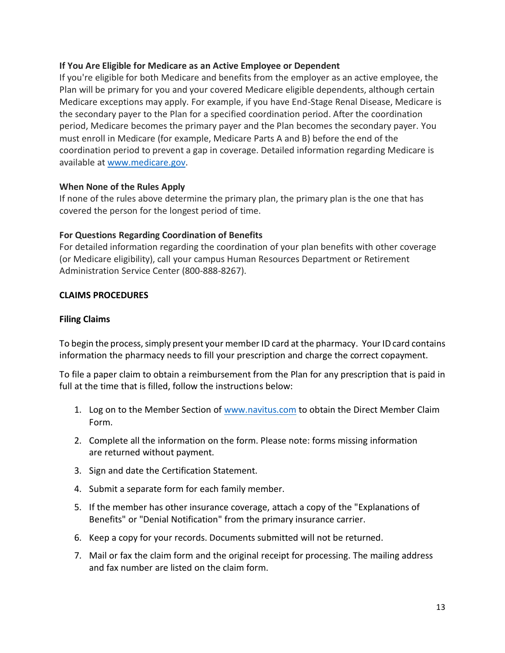#### **If You Are Eligible for Medicare as an Active Employee or Dependent**

If you're eligible for both Medicare and benefits from the employer as an active employee, the Plan will be primary for you and your covered Medicare eligible dependents, although certain Medicare exceptions may apply. For example, if you have End-Stage Renal Disease, Medicare is the secondary payer to the Plan for a specified coordination period. After the coordination period, Medicare becomes the primary payer and the Plan becomes the secondary payer. You must enroll in Medicare (for example, Medicare Parts A and B) before the end of the coordination period to prevent a gap in coverage. Detailed information regarding Medicare is available at [www.medicare.gov.](http://www.medicare.gov/)

#### **When None of the Rules Apply**

If none of the rules above determine the primary plan, the primary plan is the one that has covered the person for the longest period of time.

#### **For Questions Regarding Coordination of Benefits**

For detailed information regarding the coordination of your plan benefits with other coverage (or Medicare eligibility), call your campus Human Resources Department or Retirement Administration Service Center (800-888-8267).

#### **CLAIMS PROCEDURES**

#### **Filing Claims**

To begin the process, simply present your member ID card at the pharmacy. Your ID card contains information the pharmacy needs to fill your prescription and charge the correct copayment.

To file a paper claim to obtain a reimbursement from the Plan for any prescription that is paid in full at the time that is filled, follow the instructions below:

- 1. Log on to the Member Section of [www.navitus.com](http://www.navitus.com/) to obtain the Direct Member Claim Form.
- 2. Complete all the information on the form. Please note: forms missing information are returned without payment.
- 3. Sign and date the Certification Statement.
- 4. Submit a separate form for each family member.
- 5. If the member has other insurance coverage, attach a copy of the "Explanations of Benefits" or "Denial Notification" from the primary insurance carrier.
- 6. Keep a copy for your records. Documents submitted will not be returned.
- 7. Mail or fax the claim form and the original receipt for processing. The mailing address and fax number are listed on the claim form.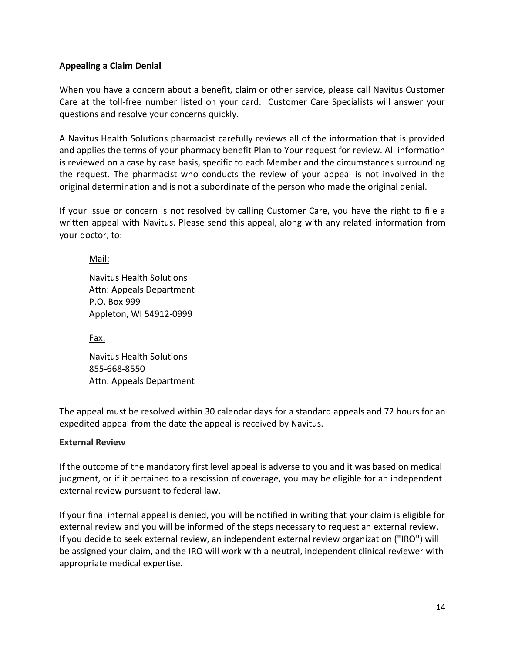#### **Appealing a Claim Denial**

When you have a concern about a benefit, claim or other service, please call Navitus Customer Care at the toll-free number listed on your card. Customer Care Specialists will answer your questions and resolve your concerns quickly.

A Navitus Health Solutions pharmacist carefully reviews all of the information that is provided and applies the terms of your pharmacy benefit Plan to Your request for review. All information is reviewed on a case by case basis, specific to each Member and the circumstances surrounding the request. The pharmacist who conducts the review of your appeal is not involved in the original determination and is not a subordinate of the person who made the original denial.

If your issue or concern is not resolved by calling Customer Care, you have the right to file a written appeal with Navitus. Please send this appeal, along with any related information from your doctor, to:

Mail:

Navitus Health Solutions Attn: Appeals Department P.O. Box 999 Appleton, WI 54912-0999

Fax:

Navitus Health Solutions 855-668-8550 Attn: Appeals Department

The appeal must be resolved within 30 calendar days for a standard appeals and 72 hours for an expedited appeal from the date the appeal is received by Navitus.

#### **External Review**

If the outcome of the mandatory first level appeal is adverse to you and it was based on medical judgment, or if it pertained to a rescission of coverage, you may be eligible for an independent external review pursuant to federal law.

If your final internal appeal is denied, you will be notified in writing that your claim is eligible for external review and you will be informed of the steps necessary to request an external review. If you decide to seek external review, an independent external review organization ("IRO") will be assigned your claim, and the IRO will work with a neutral, independent clinical reviewer with appropriate medical expertise.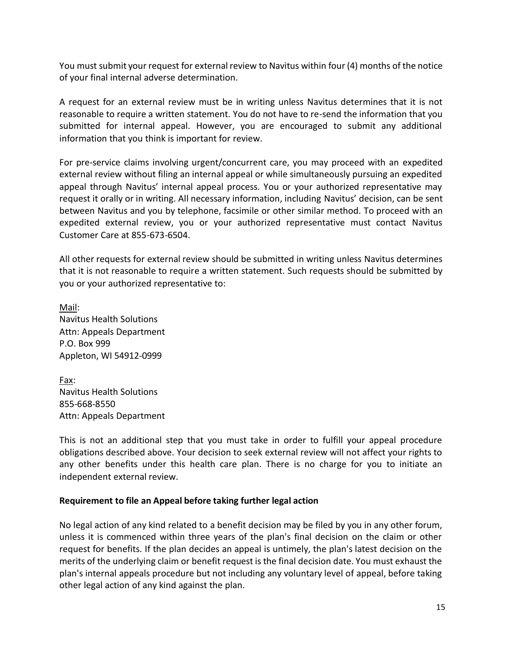You must submit your request for external review to Navitus within four (4) months of the notice of your final internal adverse determination.

A request for an external review must be in writing unless Navitus determines that it is not reasonable to require a written statement. You do not have to re-send the information that you submitted for internal appeal. However, you are encouraged to submit any additional information that you think is important for review.

For pre-service claims involving urgent/concurrent care, you may proceed with an expedited external review without filing an internal appeal or while simultaneously pursuing an expedited appeal through Navitus' internal appeal process. You or your authorized representative may request it orally or in writing. All necessary information, including Navitus' decision, can be sent between Navitus and you by telephone, facsimile or other similar method. To proceed with an expedited external review, you or your authorized representative must contact Navitus Customer Care at 855-673-6504.

All other requests for external review should be submitted in writing unless Navitus determines that it is not reasonable to require a written statement. Such requests should be submitted by you or your authorized representative to:

Mail: Navitus Health Solutions Attn: Appeals Department P.O. Box 999 Appleton, WI 54912-0999

Fax: Navitus Health Solutions 855-668-8550 Attn: Appeals Department

This is not an additional step that you must take in order to fulfill your appeal procedure obligations described above. Your decision to seek external review will not affect your rights to any other benefits under this health care plan. There is no charge for you to initiate an independent external review.

#### **Requirement to file an Appeal before taking further legal action**

No legal action of any kind related to a benefit decision may be filed by you in any other forum, unless it is commenced within three years of the plan's final decision on the claim or other request for benefits. If the plan decides an appeal is untimely, the plan's latest decision on the merits of the underlying claim or benefit request is the final decision date. You must exhaust the plan's internal appeals procedure but not including any voluntary level of appeal, before taking other legal action of any kind against the plan.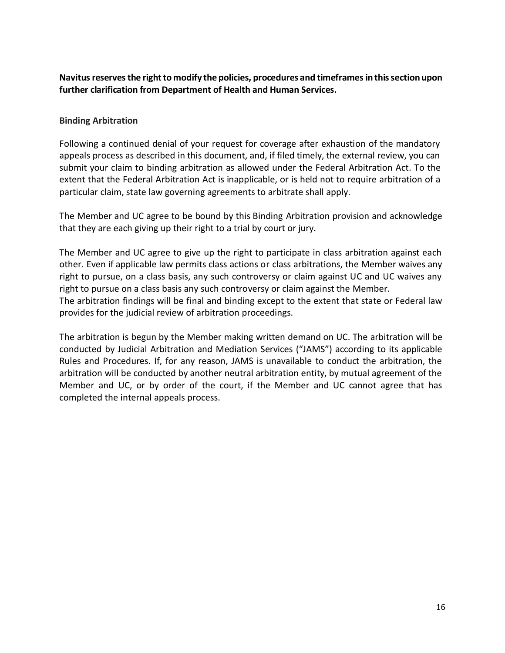Navitus reserves the right to modify the policies, procedures and timeframes in this section upon **further clarification from Department of Health and Human Services.**

#### **Binding Arbitration**

Following a continued denial of your request for coverage after exhaustion of the mandatory appeals process as described in this document, and, if filed timely, the external review, you can submit your claim to binding arbitration as allowed under the Federal Arbitration Act. To the extent that the Federal Arbitration Act is inapplicable, or is held not to require arbitration of a particular claim, state law governing agreements to arbitrate shall apply.

The Member and UC agree to be bound by this Binding Arbitration provision and acknowledge that they are each giving up their right to a trial by court or jury.

The Member and UC agree to give up the right to participate in class arbitration against each other. Even if applicable law permits class actions or class arbitrations, the Member waives any right to pursue, on a class basis, any such controversy or claim against UC and UC waives any right to pursue on a class basis any such controversy or claim against the Member.

The arbitration findings will be final and binding except to the extent that state or Federal law provides for the judicial review of arbitration proceedings.

The arbitration is begun by the Member making written demand on UC. The arbitration will be conducted by Judicial Arbitration and Mediation Services ("JAMS") according to its applicable Rules and Procedures. If, for any reason, JAMS is unavailable to conduct the arbitration, the arbitration will be conducted by another neutral arbitration entity, by mutual agreement of the Member and UC, or by order of the court, if the Member and UC cannot agree that has completed the internal appeals process.